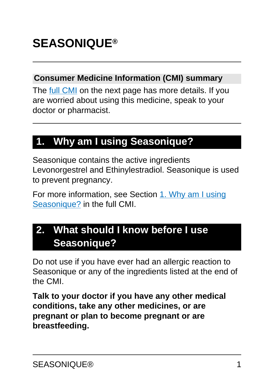#### **Consumer Medicine Information (CMI) summary**

The [full CMI](#page-5-0) on the next page has more details. If you are worried about using this medicine, speak to your doctor or pharmacist.

## **1. Why am I using Seasonique?**

Seasonique contains the active ingredients Levonorgestrel and Ethinylestradiol. Seasonique is used to prevent pregnancy.

For more information, see Section [1. Why am I using](#page-5-1) [Seasonique?](#page-5-1) in the full CMI.

## **2. What should I know before I use Seasonique?**

Do not use if you have ever had an allergic reaction to Seasonique or any of the ingredients listed at the end of the CMI.

**Talk to your doctor if you have any other medical conditions, take any other medicines, or are pregnant or plan to become pregnant or are breastfeeding.**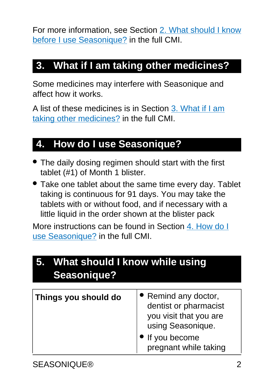For more information, see Section [2. What should I know](#page-6-0) [before I use Seasonique?](#page-6-0) in the full CMI.

## **3. What if I am taking other medicines?**

Some medicines may interfere with Seasonique and affect how it works.

A list of these medicines is in Section [3. What if I am](#page-16-0) [taking other medicines?](#page-16-0) in the full CMI.

## **4. How do I use Seasonique?**

- The daily dosing regimen should start with the first tablet (#1) of Month 1 blister.
- Take one tablet about the same time every day. Tablet taking is continuous for 91 days. You may take the tablets with or without food, and if necessary with a little liquid in the order shown at the blister pack

More instructions can be found in Section [4. How do I](#page-19-0) [use Seasonique?](#page-19-0) in the full CMI.

| 5. What should I know while using<br><b>Seasonique?</b> |                                                                                                                                        |
|---------------------------------------------------------|----------------------------------------------------------------------------------------------------------------------------------------|
| Things you should do                                    | • Remind any doctor,<br>dentist or pharmacist<br>you visit that you are<br>using Seasonique.<br>If you become<br>pregnant while taking |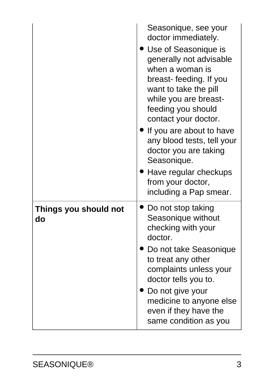|                             | Seasonique, see your<br>doctor immediately.<br>• Use of Seasonique is<br>generally not advisable<br>when a woman is<br>breast-feeding. If you<br>want to take the pill<br>while you are breast-<br>feeding you should<br>contact your doctor.<br>If you are about to have<br>any blood tests, tell your<br>doctor you are taking<br>Seasonique.<br>Have regular checkups<br>from your doctor,<br>including a Pap smear. |
|-----------------------------|-------------------------------------------------------------------------------------------------------------------------------------------------------------------------------------------------------------------------------------------------------------------------------------------------------------------------------------------------------------------------------------------------------------------------|
| Things you should not<br>do | Do not stop taking<br>Seasonique without<br>checking with your<br>doctor.<br>Do not take Seasonique<br>to treat any other<br>complaints unless your<br>doctor tells you to.<br>Do not give your<br>medicine to anyone else<br>even if they have the<br>same condition as you                                                                                                                                            |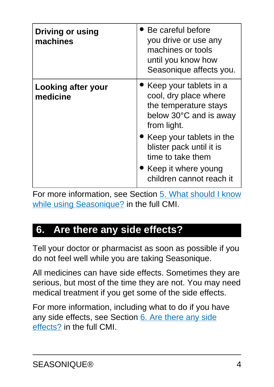| <b>Driving or using</b><br>machines | Be careful before<br>you drive or use any<br>machines or tools<br>until you know how<br>Seasonique affects you.   |
|-------------------------------------|-------------------------------------------------------------------------------------------------------------------|
| Looking after your<br>medicine      | Keep your tablets in a<br>cool, dry place where<br>the temperature stays<br>below 30°C and is away<br>from light. |
|                                     | Keep your tablets in the<br>blister pack until it is<br>time to take them                                         |
|                                     | • Keep it where young<br>children cannot reach it                                                                 |

For more information, see Section [5. What should I know](#page-27-0) [while using Seasonique?](#page-27-0) in the full CMI.

### **6. Are there any side effects?**

Tell your doctor or pharmacist as soon as possible if you do not feel well while you are taking Seasonique.

All medicines can have side effects. Sometimes they are serious, but most of the time they are not. You may need medical treatment if you get some of the side effects.

For more information, including what to do if you have any side effects, see Section [6. Are there any side](#page-31-0) [effects?](#page-31-0) in the full CMI.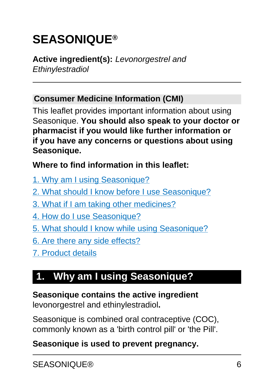# <span id="page-5-0"></span>**SEASONIQUE®**

#### **Active ingredient(s):** Levonorgestrel and **Ethinylestradiol**

#### **Consumer Medicine Information (CMI)**

This leaflet provides important information about using Seasonique. **You should also speak to your doctor or pharmacist if you would like further information or if you have any concerns or questions about using Seasonique.**

#### **Where to find information in this leaflet:**

- [1. Why am I using Seasonique?](#page-5-1)
- [2. What should I know before I use Seasonique?](#page-6-0)
- [3. What if I am taking other medicines?](#page-16-0)
- [4. How do I use Seasonique?](#page-19-0)
- [5. What should I know while using Seasonique?](#page-27-0)
- [6. Are there any side effects?](#page-31-0)
- [7. Product details](#page-38-0)

## <span id="page-5-1"></span>**1. Why am I using Seasonique?**

**Seasonique contains the active ingredient** levonorgestrel and ethinylestradiol**.**

Seasonique is combined oral contraceptive (COC), commonly known as a 'birth control pill' or 'the Pill'.

#### **Seasonique is used to prevent pregnancy.**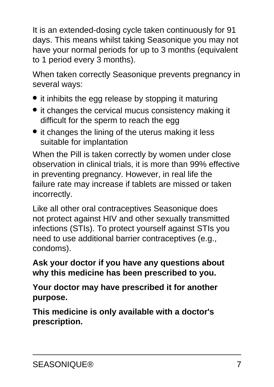It is an extended-dosing cycle taken continuously for 91 days. This means whilst taking Seasonique you may not have your normal periods for up to 3 months (equivalent to 1 period every 3 months).

When taken correctly Seasonique prevents pregnancy in several ways:

- it inhibits the egg release by stopping it maturing
- it changes the cervical mucus consistency making it difficult for the sperm to reach the egg
- it changes the lining of the uterus making it less suitable for implantation

When the Pill is taken correctly by women under close observation in clinical trials, it is more than 99% effective in preventing pregnancy. However, in real life the failure rate may increase if tablets are missed or taken incorrectly.

Like all other oral contraceptives Seasonique does not protect against HIV and other sexually transmitted infections (STIs). To protect yourself against STIs you need to use additional barrier contraceptives (e.g., condoms).

**Ask your doctor if you have any questions about why this medicine has been prescribed to you.**

**Your doctor may have prescribed it for another purpose.**

<span id="page-6-0"></span>**This medicine is only available with a doctor's prescription.**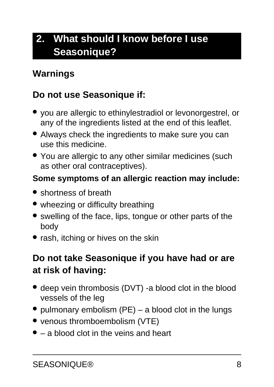## **2. What should I know before I use Seasonique?**

### **Warnings**

### **Do not use Seasonique if:**

- you are allergic to ethinylestradiol or levonorgestrel, or any of the ingredients listed at the end of this leaflet.
- Always check the ingredients to make sure you can use this medicine.
- You are allergic to any other similar medicines (such as other oral contraceptives).

#### **Some symptoms of an allergic reaction may include:**

- shortness of breath
- wheezing or difficulty breathing
- swelling of the face, lips, tongue or other parts of the body
- rash, itching or hives on the skin

### **Do not take Seasonique if you have had or are at risk of having:**

- deep vein thrombosis (DVT) -a blood clot in the blood vessels of the leg
- pulmonary embolism  $(PE)$  a blood clot in the lungs
- venous thromboembolism (VTE)
- $\bullet$  a blood clot in the veins and heart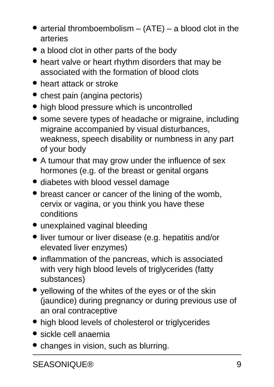- arterial thromboembolism  $-$  (ATE) a blood clot in the arteries
- a blood clot in other parts of the body
- heart valve or heart rhythm disorders that may be associated with the formation of blood clots
- heart attack or stroke
- chest pain (angina pectoris)
- high blood pressure which is uncontrolled
- some severe types of headache or migraine, including migraine accompanied by visual disturbances, weakness, speech disability or numbness in any part of your body
- A tumour that may grow under the influence of sex hormones (e.g. of the breast or genital organs
- diabetes with blood vessel damage
- breast cancer or cancer of the lining of the womb, cervix or vagina, or you think you have these conditions
- unexplained vaginal bleeding
- liver tumour or liver disease (e.g. hepatitis and/or elevated liver enzymes)
- inflammation of the pancreas, which is associated with very high blood levels of triglycerides (fatty substances)
- yellowing of the whites of the eyes or of the skin (jaundice) during pregnancy or during previous use of an oral contraceptive
- high blood levels of cholesterol or triglycerides
- sickle cell anaemia
- changes in vision, such as blurring.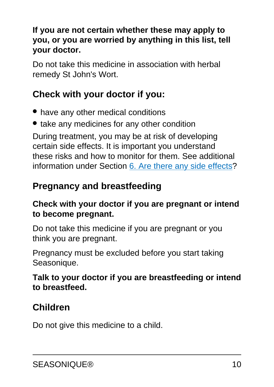#### **If you are not certain whether these may apply to you, or you are worried by anything in this list, tell your doctor.**

Do not take this medicine in association with herbal remedy St John's Wort.

### **Check with your doctor if you:**

- have any other medical conditions
- take any medicines for any other condition

During treatment, you may be at risk of developing certain side effects. It is important you understand these risks and how to monitor for them. See additional information under Section [6. Are there any side effects](#page-31-0)?

### **Pregnancy and breastfeeding**

#### **Check with your doctor if you are pregnant or intend to become pregnant.**

Do not take this medicine if you are pregnant or you think you are pregnant.

Pregnancy must be excluded before you start taking Seasonique.

#### **Talk to your doctor if you are breastfeeding or intend to breastfeed.**

### **Children**

Do not give this medicine to a child.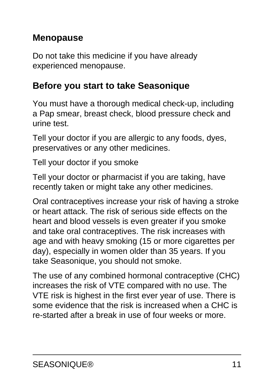### **Menopause**

Do not take this medicine if you have already experienced menopause.

### **Before you start to take Seasonique**

You must have a thorough medical check-up, including a Pap smear, breast check, blood pressure check and urine test.

Tell your doctor if you are allergic to any foods, dyes, preservatives or any other medicines.

Tell your doctor if you smoke

Tell your doctor or pharmacist if you are taking, have recently taken or might take any other medicines.

Oral contraceptives increase your risk of having a stroke or heart attack. The risk of serious side effects on the heart and blood vessels is even greater if you smoke and take oral contraceptives. The risk increases with age and with heavy smoking (15 or more cigarettes per day), especially in women older than 35 years. If you take Seasonique, you should not smoke.

The use of any combined hormonal contraceptive (CHC) increases the risk of VTE compared with no use. The VTE risk is highest in the first ever year of use. There is some evidence that the risk is increased when a CHC is re-started after a break in use of four weeks or more.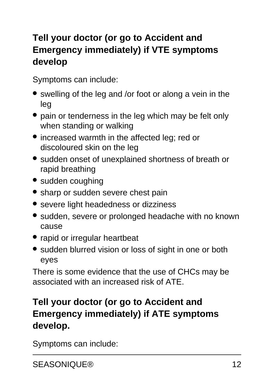### **Tell your doctor (or go to Accident and Emergency immediately) if VTE symptoms develop**

Symptoms can include:

- swelling of the leg and /or foot or along a vein in the leg
- pain or tenderness in the leg which may be felt only when standing or walking
- increased warmth in the affected leg; red or discoloured skin on the leg
- sudden onset of unexplained shortness of breath or rapid breathing
- sudden coughing
- sharp or sudden severe chest pain
- severe light headedness or dizziness
- sudden, severe or prolonged headache with no known cause
- rapid or irregular heartbeat
- sudden blurred vision or loss of sight in one or both eyes

There is some evidence that the use of CHCs may be associated with an increased risk of ATE.

### **Tell your doctor (or go to Accident and Emergency immediately) if ATE symptoms develop.**

Symptoms can include: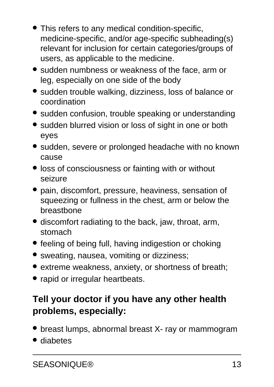- This refers to any medical condition-specific, medicine-specific, and/or age-specific subheading(s) relevant for inclusion for certain categories/groups of users, as applicable to the medicine.
- sudden numbness or weakness of the face, arm or leg, especially on one side of the body
- sudden trouble walking, dizziness, loss of balance or coordination
- sudden confusion, trouble speaking or understanding
- sudden blurred vision or loss of sight in one or both eyes
- sudden, severe or prolonged headache with no known cause
- loss of consciousness or fainting with or without seizure
- pain, discomfort, pressure, heaviness, sensation of squeezing or fullness in the chest, arm or below the breastbone
- discomfort radiating to the back, jaw, throat, arm, stomach
- feeling of being full, having indigestion or choking
- sweating, nausea, vomiting or dizziness;
- extreme weakness, anxiety, or shortness of breath;
- rapid or irregular heartbeats.

### **Tell your doctor if you have any other health problems, especially:**

- breast lumps, abnormal breast X- ray or mammogram
- diabetes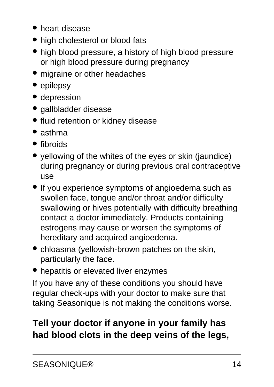- heart disease
- high cholesterol or blood fats
- high blood pressure, a history of high blood pressure or high blood pressure during pregnancy
- migraine or other headaches
- epilepsy
- depression
- gallbladder disease
- fluid retention or kidney disease
- asthma
- fibroids
- yellowing of the whites of the eyes or skin (jaundice) during pregnancy or during previous oral contraceptive use
- If you experience symptoms of angioedema such as swollen face, tongue and/or throat and/or difficulty swallowing or hives potentially with difficulty breathing contact a doctor immediately. Products containing estrogens may cause or worsen the symptoms of hereditary and acquired angioedema.
- chloasma (yellowish-brown patches on the skin, particularly the face.
- hepatitis or elevated liver enzymes

If you have any of these conditions you should have regular check-ups with your doctor to make sure that taking Seasonique is not making the conditions worse.

## **Tell your doctor if anyone in your family has had blood clots in the deep veins of the legs,**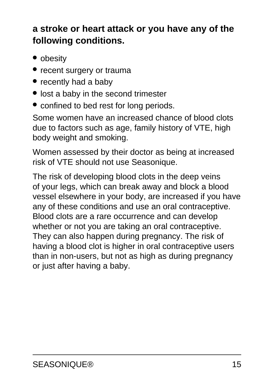### **a stroke or heart attack or you have any of the following conditions.**

- obesity
- recent surgery or trauma
- recently had a baby
- lost a baby in the second trimester
- confined to bed rest for long periods.

Some women have an increased chance of blood clots due to factors such as age, family history of VTE, high body weight and smoking.

Women assessed by their doctor as being at increased risk of VTE should not use Seasonique.

The risk of developing blood clots in the deep veins of your legs, which can break away and block a blood vessel elsewhere in your body, are increased if you have any of these conditions and use an oral contraceptive. Blood clots are a rare occurrence and can develop whether or not you are taking an oral contraceptive. They can also happen during pregnancy. The risk of having a blood clot is higher in oral contraceptive users than in non-users, but not as high as during pregnancy or just after having a baby.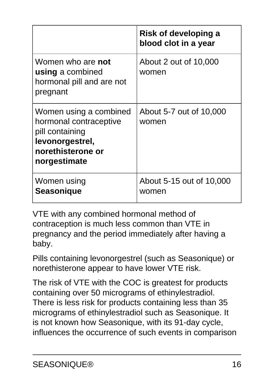|                                                                                                                             | Risk of developing a<br>blood clot in a year |
|-----------------------------------------------------------------------------------------------------------------------------|----------------------------------------------|
| Women who are not<br>using a combined<br>hormonal pill and are not<br>pregnant                                              | About 2 out of 10,000<br>women               |
| Women using a combined<br>hormonal contraceptive<br>pill containing<br>levonorgestrel,<br>norethisterone or<br>norgestimate | About 5-7 out of 10,000<br>women             |
| Women using<br><b>Seasonique</b>                                                                                            | About 5-15 out of 10,000<br>women            |

VTE with any combined hormonal method of contraception is much less common than VTE in pregnancy and the period immediately after having a baby.

Pills containing levonorgestrel (such as Seasonique) or norethisterone appear to have lower VTE risk.

The risk of VTE with the COC is greatest for products containing over 50 micrograms of ethinylestradiol. There is less risk for products containing less than 35 micrograms of ethinylestradiol such as Seasonique. It is not known how Seasonique, with its 91-day cycle, influences the occurrence of such events in comparison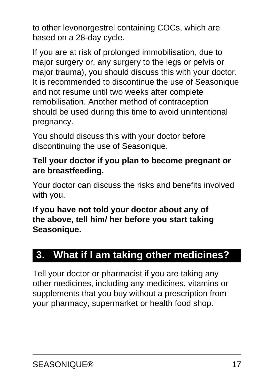to other levonorgestrel containing COCs, which are based on a 28-day cycle.

If you are at risk of prolonged immobilisation, due to major surgery or, any surgery to the legs or pelvis or major trauma), you should discuss this with your doctor. It is recommended to discontinue the use of Seasonique and not resume until two weeks after complete remobilisation. Another method of contraception should be used during this time to avoid unintentional pregnancy.

You should discuss this with your doctor before discontinuing the use of Seasonique.

#### **Tell your doctor if you plan to become pregnant or are breastfeeding.**

Your doctor can discuss the risks and benefits involved with you.

#### **If you have not told your doctor about any of the above, tell him/ her before you start taking Seasonique.**

## <span id="page-16-0"></span>**3. What if I am taking other medicines?**

Tell your doctor or pharmacist if you are taking any other medicines, including any medicines, vitamins or supplements that you buy without a prescription from your pharmacy, supermarket or health food shop.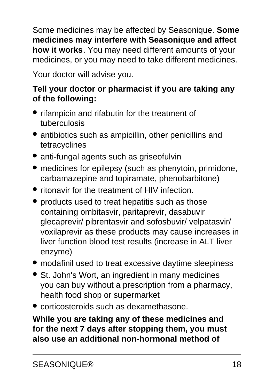Some medicines may be affected by Seasonique. **Some medicines may interfere with Seasonique and affect how it works**. You may need different amounts of your medicines, or you may need to take different medicines.

Your doctor will advise you.

#### **Tell your doctor or pharmacist if you are taking any of the following:**

- rifampicin and rifabutin for the treatment of tuberculosis
- antibiotics such as ampicillin, other penicillins and tetracyclines
- anti-fungal agents such as griseofulvin
- medicines for epilepsy (such as phenytoin, primidone, carbamazepine and topiramate, phenobarbitone)
- ritonavir for the treatment of HIV infection.
- products used to treat hepatitis such as those containing ombitasvir, paritaprevir, dasabuvir glecaprevir/ pibrentasvir and sofosbuvir/ velpatasvir/ voxilaprevir as these products may cause increases in liver function blood test results (increase in ALT liver enzyme)
- modafinil used to treat excessive daytime sleepiness
- St. John's Wort, an ingredient in many medicines you can buy without a prescription from a pharmacy, health food shop or supermarket
- corticosteroids such as dexamethasone.

#### **While you are taking any of these medicines and for the next 7 days after stopping them, you must also use an additional non-hormonal method of**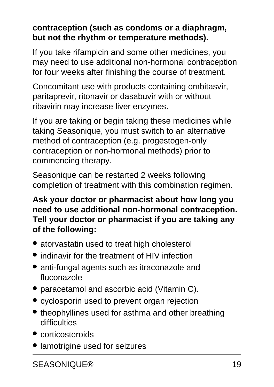#### **contraception (such as condoms or a diaphragm, but not the rhythm or temperature methods).**

If you take rifampicin and some other medicines, you may need to use additional non-hormonal contraception for four weeks after finishing the course of treatment.

Concomitant use with products containing ombitasvir, paritaprevir, ritonavir or dasabuvir with or without ribavirin may increase liver enzymes.

If you are taking or begin taking these medicines while taking Seasonique, you must switch to an alternative method of contraception (e.g. progestogen-only contraception or non-hormonal methods) prior to commencing therapy.

Seasonique can be restarted 2 weeks following completion of treatment with this combination regimen.

#### **Ask your doctor or pharmacist about how long you need to use additional non-hormonal contraception. Tell your doctor or pharmacist if you are taking any of the following:**

- atorvastatin used to treat high cholesterol
- indinavir for the treatment of HIV infection
- anti-fungal agents such as itraconazole and fluconazole
- paracetamol and ascorbic acid (Vitamin C).
- cyclosporin used to prevent organ rejection
- theophyllines used for asthma and other breathing difficulties
- corticosteroids
- lamotrigine used for seizures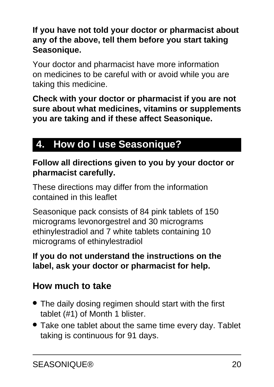**If you have not told your doctor or pharmacist about any of the above, tell them before you start taking Seasonique.**

Your doctor and pharmacist have more information on medicines to be careful with or avoid while you are taking this medicine.

**Check with your doctor or pharmacist if you are not sure about what medicines, vitamins or supplements you are taking and if these affect Seasonique.**

## <span id="page-19-0"></span>**4. How do I use Seasonique?**

#### **Follow all directions given to you by your doctor or pharmacist carefully.**

These directions may differ from the information contained in this leaflet

Seasonique pack consists of 84 pink tablets of 150 micrograms levonorgestrel and 30 micrograms ethinylestradiol and 7 white tablets containing 10 micrograms of ethinylestradiol

#### **If you do not understand the instructions on the label, ask your doctor or pharmacist for help.**

### **How much to take**

- The daily dosing regimen should start with the first tablet (#1) of Month 1 blister.
- Take one tablet about the same time every day. Tablet taking is continuous for 91 days.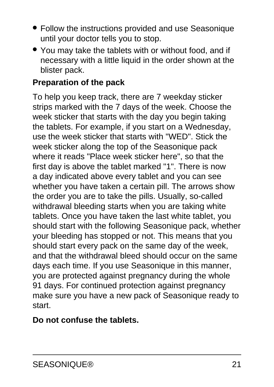- Follow the instructions provided and use Seasonique until your doctor tells you to stop.
- You may take the tablets with or without food, and if necessary with a little liquid in the order shown at the blister pack.

#### **Preparation of the pack**

To help you keep track, there are 7 weekday sticker strips marked with the 7 days of the week. Choose the week sticker that starts with the day you begin taking the tablets. For example, if you start on a Wednesday, use the week sticker that starts with "WED". Stick the week sticker along the top of the Seasonique pack where it reads "Place week sticker here", so that the first day is above the tablet marked "1". There is now a day indicated above every tablet and you can see whether you have taken a certain pill. The arrows show the order you are to take the pills. Usually, so-called withdrawal bleeding starts when you are taking white tablets. Once you have taken the last white tablet, you should start with the following Seasonique pack, whether your bleeding has stopped or not. This means that you should start every pack on the same day of the week, and that the withdrawal bleed should occur on the same days each time. If you use Seasonique in this manner, you are protected against pregnancy during the whole 91 days. For continued protection against pregnancy make sure you have a new pack of Seasonique ready to start.

#### **Do not confuse the tablets.**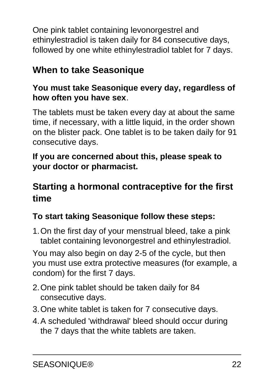One pink tablet containing levonorgestrel and ethinylestradiol is taken daily for 84 consecutive days, followed by one white ethinylestradiol tablet for 7 days.

### **When to take Seasonique**

#### **You must take Seasonique every day, regardless of how often you have sex**.

The tablets must be taken every day at about the same time, if necessary, with a little liquid, in the order shown on the blister pack. One tablet is to be taken daily for 91 consecutive days.

#### **If you are concerned about this, please speak to your doctor or pharmacist.**

### **Starting a hormonal contraceptive for the first time**

#### **To start taking Seasonique follow these steps:**

1.On the first day of your menstrual bleed, take a pink tablet containing levonorgestrel and ethinylestradiol.

You may also begin on day 2-5 of the cycle, but then you must use extra protective measures (for example, a condom) for the first 7 days.

- 2.One pink tablet should be taken daily for 84 consecutive days.
- 3.One white tablet is taken for 7 consecutive days.
- 4.A scheduled 'withdrawal' bleed should occur during the 7 days that the white tablets are taken.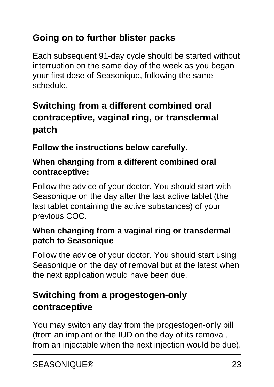### **Going on to further blister packs**

Each subsequent 91-day cycle should be started without interruption on the same day of the week as you began your first dose of Seasonique, following the same schedule.

### **Switching from a different combined oral contraceptive, vaginal ring, or transdermal patch**

**Follow the instructions below carefully.**

#### **When changing from a different combined oral contraceptive:**

Follow the advice of your doctor. You should start with Seasonique on the day after the last active tablet (the last tablet containing the active substances) of your previous COC.

#### **When changing from a vaginal ring or transdermal patch to Seasonique**

Follow the advice of your doctor. You should start using Seasonique on the day of removal but at the latest when the next application would have been due.

### **Switching from a progestogen-only contraceptive**

You may switch any day from the progestogen-only pill (from an implant or the IUD on the day of its removal, from an injectable when the next injection would be due).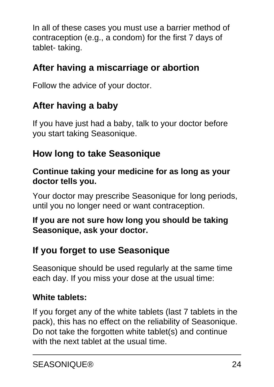In all of these cases you must use a barrier method of contraception (e.g., a condom) for the first 7 days of tablet- taking.

### **After having a miscarriage or abortion**

Follow the advice of your doctor.

### **After having a baby**

If you have just had a baby, talk to your doctor before you start taking Seasonique.

### **How long to take Seasonique**

#### **Continue taking your medicine for as long as your doctor tells you.**

Your doctor may prescribe Seasonique for long periods, until you no longer need or want contraception.

#### **If you are not sure how long you should be taking Seasonique, ask your doctor.**

### **If you forget to use Seasonique**

Seasonique should be used regularly at the same time each day. If you miss your dose at the usual time:

#### **White tablets:**

If you forget any of the white tablets (last 7 tablets in the pack), this has no effect on the reliability of Seasonique. Do not take the forgotten white tablet(s) and continue with the next tablet at the usual time.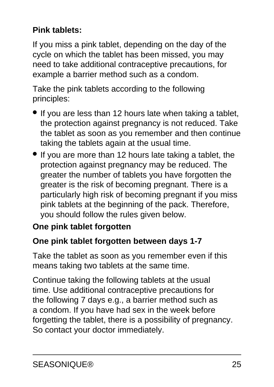#### **Pink tablets:**

If you miss a pink tablet, depending on the day of the cycle on which the tablet has been missed, you may need to take additional contraceptive precautions, for example a barrier method such as a condom.

Take the pink tablets according to the following principles:

- If you are less than 12 hours late when taking a tablet, the protection against pregnancy is not reduced. Take the tablet as soon as you remember and then continue taking the tablets again at the usual time.
- If you are more than 12 hours late taking a tablet, the protection against pregnancy may be reduced. The greater the number of tablets you have forgotten the greater is the risk of becoming pregnant. There is a particularly high risk of becoming pregnant if you miss pink tablets at the beginning of the pack. Therefore, you should follow the rules given below.

#### **One pink tablet forgotten**

#### **One pink tablet forgotten between days 1-7**

Take the tablet as soon as you remember even if this means taking two tablets at the same time.

Continue taking the following tablets at the usual time. Use additional contraceptive precautions for the following 7 days e.g., a barrier method such as a condom. If you have had sex in the week before forgetting the tablet, there is a possibility of pregnancy. So contact your doctor immediately.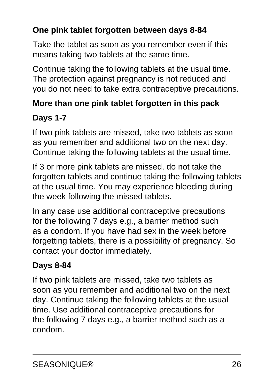#### **One pink tablet forgotten between days 8-84**

Take the tablet as soon as you remember even if this means taking two tablets at the same time.

Continue taking the following tablets at the usual time. The protection against pregnancy is not reduced and you do not need to take extra contraceptive precautions.

### **More than one pink tablet forgotten in this pack**

### **Days 1-7**

If two pink tablets are missed, take two tablets as soon as you remember and additional two on the next day. Continue taking the following tablets at the usual time.

If 3 or more pink tablets are missed, do not take the forgotten tablets and continue taking the following tablets at the usual time. You may experience bleeding during the week following the missed tablets.

In any case use additional contraceptive precautions for the following 7 days e.g., a barrier method such as a condom. If you have had sex in the week before forgetting tablets, there is a possibility of pregnancy. So contact your doctor immediately.

### **Days 8-84**

If two pink tablets are missed, take two tablets as soon as you remember and additional two on the next day. Continue taking the following tablets at the usual time. Use additional contraceptive precautions for the following 7 days e.g., a barrier method such as a condom.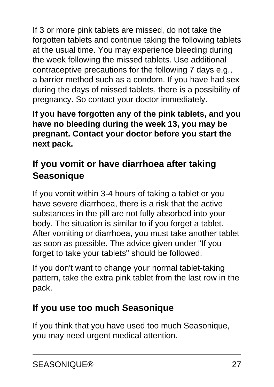If 3 or more pink tablets are missed, do not take the forgotten tablets and continue taking the following tablets at the usual time. You may experience bleeding during the week following the missed tablets. Use additional contraceptive precautions for the following 7 days e.g., a barrier method such as a condom. If you have had sex during the days of missed tablets, there is a possibility of pregnancy. So contact your doctor immediately.

**If you have forgotten any of the pink tablets, and you have no bleeding during the week 13, you may be pregnant. Contact your doctor before you start the next pack.**

### **If you vomit or have diarrhoea after taking Seasonique**

If you vomit within 3-4 hours of taking a tablet or you have severe diarrhoea, there is a risk that the active substances in the pill are not fully absorbed into your body. The situation is similar to if you forget a tablet. After vomiting or diarrhoea, you must take another tablet as soon as possible. The advice given under "If you forget to take your tablets" should be followed.

If you don't want to change your normal tablet-taking pattern, take the extra pink tablet from the last row in the pack.

### **If you use too much Seasonique**

If you think that you have used too much Seasonique, you may need urgent medical attention.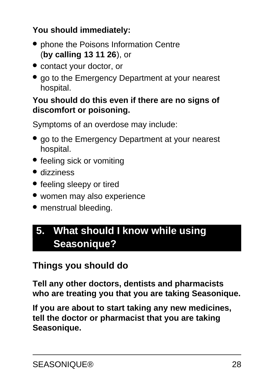#### **You should immediately:**

- phone the Poisons Information Centre (**by calling 13 11 26**), or
- contact your doctor, or
- go to the Emergency Department at your nearest hospital.

#### **You should do this even if there are no signs of discomfort or poisoning.**

Symptoms of an overdose may include:

- go to the Emergency Department at your nearest hospital.
- feeling sick or vomiting
- dizziness
- feeling sleepy or tired
- women may also experience
- menstrual bleeding.

## <span id="page-27-0"></span>**5. What should I know while using Seasonique?**

### **Things you should do**

**Tell any other doctors, dentists and pharmacists who are treating you that you are taking Seasonique.**

**If you are about to start taking any new medicines, tell the doctor or pharmacist that you are taking Seasonique.**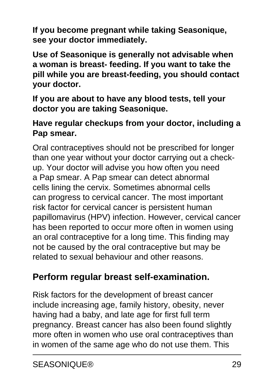**If you become pregnant while taking Seasonique, see your doctor immediately.**

**Use of Seasonique is generally not advisable when a woman is breast- feeding. If you want to take the pill while you are breast-feeding, you should contact your doctor.**

**If you are about to have any blood tests, tell your doctor you are taking Seasonique.**

#### **Have regular checkups from your doctor, including a Pap smear.**

Oral contraceptives should not be prescribed for longer than one year without your doctor carrying out a checkup. Your doctor will advise you how often you need a Pap smear. A Pap smear can detect abnormal cells lining the cervix. Sometimes abnormal cells can progress to cervical cancer. The most important risk factor for cervical cancer is persistent human papillomavirus (HPV) infection. However, cervical cancer has been reported to occur more often in women using an oral contraceptive for a long time. This finding may not be caused by the oral contraceptive but may be related to sexual behaviour and other reasons.

### **Perform regular breast self-examination.**

Risk factors for the development of breast cancer include increasing age, family history, obesity, never having had a baby, and late age for first full term pregnancy. Breast cancer has also been found slightly more often in women who use oral contraceptives than in women of the same age who do not use them. This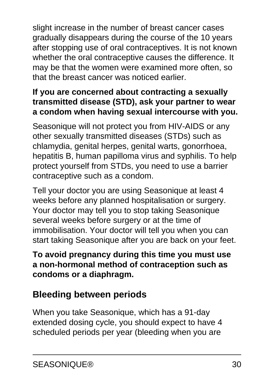slight increase in the number of breast cancer cases gradually disappears during the course of the 10 years after stopping use of oral contraceptives. It is not known whether the oral contraceptive causes the difference. It may be that the women were examined more often, so that the breast cancer was noticed earlier.

#### **If you are concerned about contracting a sexually transmitted disease (STD), ask your partner to wear a condom when having sexual intercourse with you.**

Seasonique will not protect you from HIV-AIDS or any other sexually transmitted diseases (STDs) such as chlamydia, genital herpes, genital warts, gonorrhoea, hepatitis B, human papilloma virus and syphilis. To help protect yourself from STDs, you need to use a barrier contraceptive such as a condom.

Tell your doctor you are using Seasonique at least 4 weeks before any planned hospitalisation or surgery. Your doctor may tell you to stop taking Seasonique several weeks before surgery or at the time of immobilisation. Your doctor will tell you when you can start taking Seasonique after you are back on your feet.

#### **To avoid pregnancy during this time you must use a non-hormonal method of contraception such as condoms or a diaphragm.**

### **Bleeding between periods**

When you take Seasonique, which has a 91-day extended dosing cycle, you should expect to have 4 scheduled periods per year (bleeding when you are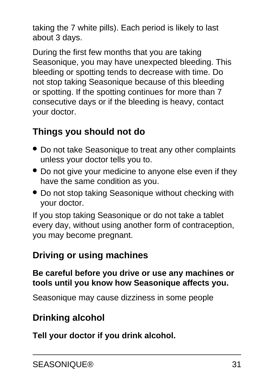taking the 7 white pills). Each period is likely to last about 3 days.

During the first few months that you are taking Seasonique, you may have unexpected bleeding. This bleeding or spotting tends to decrease with time. Do not stop taking Seasonique because of this bleeding or spotting. If the spotting continues for more than 7 consecutive days or if the bleeding is heavy, contact your doctor.

### **Things you should not do**

- Do not take Seasonique to treat any other complaints unless your doctor tells you to.
- Do not give your medicine to anyone else even if they have the same condition as you.
- Do not stop taking Seasonique without checking with your doctor.

If you stop taking Seasonique or do not take a tablet every day, without using another form of contraception, you may become pregnant.

#### **Driving or using machines**

#### **Be careful before you drive or use any machines or tools until you know how Seasonique affects you.**

Seasonique may cause dizziness in some people

### **Drinking alcohol**

**Tell your doctor if you drink alcohol.**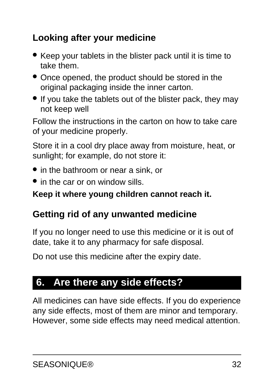### **Looking after your medicine**

- Keep your tablets in the blister pack until it is time to take them.
- Once opened, the product should be stored in the original packaging inside the inner carton.
- If you take the tablets out of the blister pack, they may not keep well

Follow the instructions in the carton on how to take care of your medicine properly.

Store it in a cool dry place away from moisture, heat, or sunlight; for example, do not store it:

- in the bathroom or near a sink, or
- in the car or on window sills.

#### **Keep it where young children cannot reach it.**

### **Getting rid of any unwanted medicine**

If you no longer need to use this medicine or it is out of date, take it to any pharmacy for safe disposal.

Do not use this medicine after the expiry date.

## <span id="page-31-0"></span>**6. Are there any side effects?**

All medicines can have side effects. If you do experience any side effects, most of them are minor and temporary. However, some side effects may need medical attention.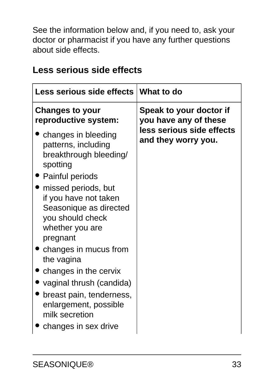See the information below and, if you need to, ask your doctor or pharmacist if you have any further questions about side effects.

| Less serious side effects   What to do           |
|--------------------------------------------------|
| Speak to your doctor if<br>you have any of these |
| less serious side effects<br>and they worry you. |
|                                                  |
|                                                  |
|                                                  |
|                                                  |
|                                                  |
|                                                  |
|                                                  |

#### **Less serious side effects**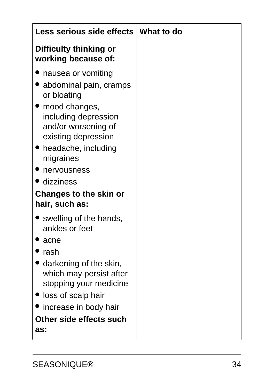| Less serious side effects   What to do                                                                                                                                                                                                                             |  |
|--------------------------------------------------------------------------------------------------------------------------------------------------------------------------------------------------------------------------------------------------------------------|--|
| Difficulty thinking or<br>working because of:                                                                                                                                                                                                                      |  |
| nausea or vomiting<br>abdominal pain, cramps<br>or bloating<br>mood changes,<br>including depression<br>and/or worsening of<br>existing depression<br>• headache, including<br>migraines<br>nervousness<br>• dizziness<br>Changes to the skin or<br>hair, such as: |  |
| swelling of the hands,<br>ankles or feet<br>acne                                                                                                                                                                                                                   |  |
| rash                                                                                                                                                                                                                                                               |  |
| darkening of the skin,<br>which may persist after<br>stopping your medicine<br>'loss of scalp hair<br>increase in body hair                                                                                                                                        |  |
| Other side effects such<br>as:                                                                                                                                                                                                                                     |  |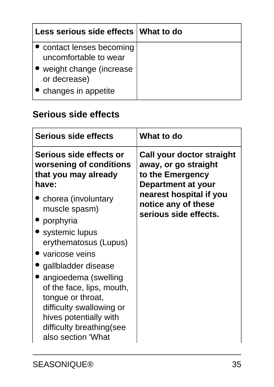| Less serious side effects What to do               |  |
|----------------------------------------------------|--|
| • contact lenses becoming<br>uncomfortable to wear |  |
| weight change (increase<br>or decrease)            |  |
| • changes in appetite                              |  |

### **Serious side effects**

| <b>Serious side effects</b>                                                                                                                                                     | What to do                                                                                         |
|---------------------------------------------------------------------------------------------------------------------------------------------------------------------------------|----------------------------------------------------------------------------------------------------|
| Serious side effects or<br>worsening of conditions<br>that you may already<br>have:                                                                                             | Call your doctor straight<br>away, or go straight<br>to the Emergency<br><b>Department at your</b> |
| chorea (involuntary<br>muscle spasm)<br>• porphyria                                                                                                                             | nearest hospital if you<br>notice any of these<br>serious side effects.                            |
| • systemic lupus<br>erythematosus (Lupus)                                                                                                                                       |                                                                                                    |
| varicose veins<br>gallbladder disease                                                                                                                                           |                                                                                                    |
| angioedema (swelling<br>of the face, lips, mouth,<br>tongue or throat,<br>difficulty swallowing or<br>hives potentially with<br>difficulty breathing (see<br>also section 'What |                                                                                                    |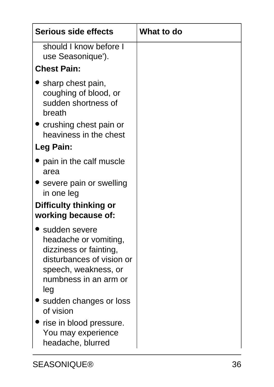| <b>Serious side effects</b>                                                                                                                                                                                                                                        | What to do |
|--------------------------------------------------------------------------------------------------------------------------------------------------------------------------------------------------------------------------------------------------------------------|------------|
| should I know before I<br>use Seasonique').                                                                                                                                                                                                                        |            |
| <b>Chest Pain:</b>                                                                                                                                                                                                                                                 |            |
| sharp chest pain,<br>coughing of blood, or<br>sudden shortness of<br>breath                                                                                                                                                                                        |            |
| crushing chest pain or<br>heaviness in the chest                                                                                                                                                                                                                   |            |
| Leg Pain:                                                                                                                                                                                                                                                          |            |
| pain in the calf muscle<br>area                                                                                                                                                                                                                                    |            |
| severe pain or swelling<br>in one leg                                                                                                                                                                                                                              |            |
| Difficulty thinking or<br>working because of:                                                                                                                                                                                                                      |            |
| sudden severe<br>headache or vomiting,<br>dizziness or fainting,<br>disturbances of vision or<br>speech, weakness, or<br>numbness in an arm or<br>leg<br>sudden changes or loss<br>of vision<br>rise in blood pressure.<br>You may experience<br>headache, blurred |            |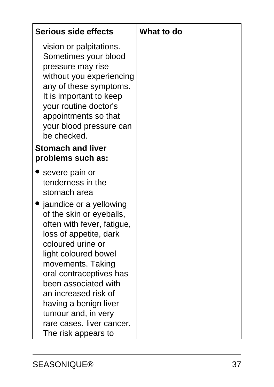| <b>Serious side effects</b>                                                                                                                                                                                                                                                                                                                                                                                         | <b>What to do</b> |
|---------------------------------------------------------------------------------------------------------------------------------------------------------------------------------------------------------------------------------------------------------------------------------------------------------------------------------------------------------------------------------------------------------------------|-------------------|
| vision or palpitations.<br>Sometimes your blood<br>pressure may rise<br>without you experiencing<br>any of these symptoms.<br>It is important to keep<br>your routine doctor's<br>appointments so that<br>your blood pressure can<br>be checked.<br><b>Stomach and liver</b>                                                                                                                                        |                   |
| problems such as:                                                                                                                                                                                                                                                                                                                                                                                                   |                   |
| severe pain or<br>tenderness in the<br>stomach area<br>jaundice or a yellowing<br>of the skin or eyeballs,<br>often with fever, fatigue,<br>loss of appetite, dark<br>coloured urine or<br>light coloured bowel<br>movements. Taking<br>oral contraceptives has<br>been associated with<br>an increased risk of<br>having a benign liver<br>tumour and, in very<br>rare cases, liver cancer.<br>The risk appears to |                   |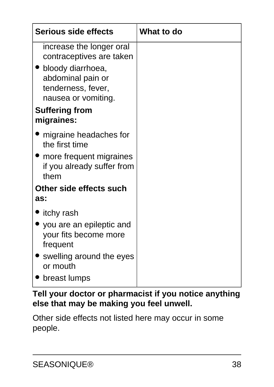| <b>Serious side effects</b>                                                         | What to do |
|-------------------------------------------------------------------------------------|------------|
| increase the longer oral<br>contraceptives are taken                                |            |
| bloody diarrhoea,<br>abdominal pain or<br>tenderness, fever,<br>nausea or vomiting. |            |
| <b>Suffering from</b><br>migraines:                                                 |            |
| migraine headaches for<br>the first time                                            |            |
| more frequent migraines<br>if you already suffer from<br>them                       |            |
| Other side effects such<br>as:                                                      |            |
| itchy rash                                                                          |            |
| you are an epileptic and<br>your fits become more<br>frequent                       |            |
| swelling around the eyes<br>or mouth                                                |            |
| breast lumps                                                                        |            |

#### **Tell your doctor or pharmacist if you notice anything else that may be making you feel unwell.**

Other side effects not listed here may occur in some people.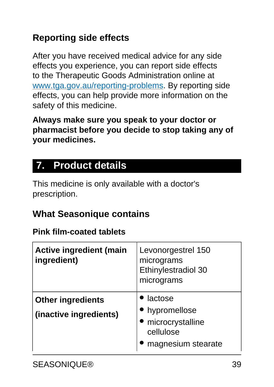### **Reporting side effects**

After you have received medical advice for any side effects you experience, you can report side effects to the Therapeutic Goods Administration online at [www.tga.gov.au/reporting-problems.](http://www.tga.gov.au/reporting-problems) By reporting side effects, you can help provide more information on the safety of this medicine.

**Always make sure you speak to your doctor or pharmacist before you decide to stop taking any of your medicines.**

## <span id="page-38-0"></span>**7. Product details**

This medicine is only available with a doctor's prescription.

### **What Seasonique contains**

#### **Pink film-coated tablets**

| <b>Active ingredient (main</b><br>ingredient)      | Levonorgestrel 150<br>micrograms<br>Ethinylestradiol 30<br>micrograms          |
|----------------------------------------------------|--------------------------------------------------------------------------------|
| <b>Other ingredients</b><br>(inactive ingredients) | lactose<br>hypromellose<br>microcrystalline<br>cellulose<br>magnesium stearate |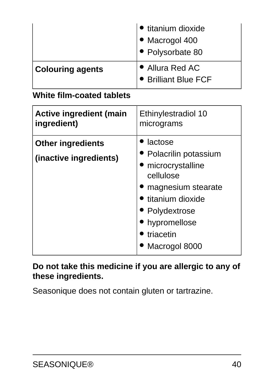|                         | • titanium dioxide<br>• Macrogol 400<br>• Polysorbate 80 |
|-------------------------|----------------------------------------------------------|
| <b>Colouring agents</b> | • Allura Red AC<br>• Brilliant Blue FCF                  |

#### **White film-coated tablets**

| <b>Active ingredient (main</b>                     | Ethinylestradiol 10                                                                                                                                                          |
|----------------------------------------------------|------------------------------------------------------------------------------------------------------------------------------------------------------------------------------|
| ingredient)                                        | micrograms                                                                                                                                                                   |
| <b>Other ingredients</b><br>(inactive ingredients) | lactose<br>• Polacrilin potassium<br>microcrystalline<br>cellulose<br>magnesium stearate<br>titanium dioxide<br>• Polydextrose<br>hypromellose<br>triacetin<br>Macrogol 8000 |

#### **Do not take this medicine if you are allergic to any of these ingredients.**

Seasonique does not contain gluten or tartrazine.